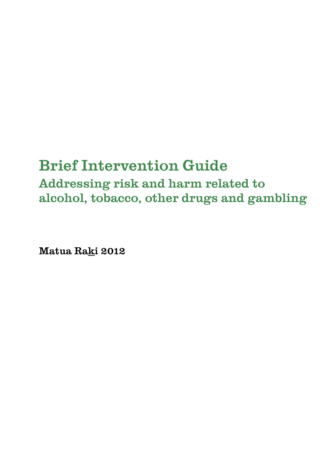# Brief Intervention Guide

Addressing risk and harm related to alcohol, tobacco, other drugs and gambling

Matua Raki 2012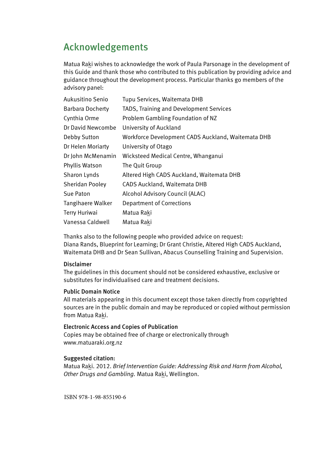### Acknowledgements

Matua Raki wishes to acknowledge the work of Paula Parsonage in the development of this Guide and thank those who contributed to this publication by providing advice and guidance throughout the development process. Particular thanks go members of the advisory panel:

| Aukusitino Senio        | Tupu Services, Waitemata DHB                       |
|-------------------------|----------------------------------------------------|
| <b>Barbara Docherty</b> | TADS, Training and Development Services            |
| Cynthia Orme            | Problem Gambling Foundation of NZ                  |
| Dr David Newcombe       | University of Auckland                             |
| Debby Sutton            | Workforce Development CADS Auckland, Waitemata DHB |
| Dr Helen Moriarty       | University of Otago                                |
| Dr John McMenamin       | Wicksteed Medical Centre, Whanganui                |
| Phyllis Watson          | The Quit Group                                     |
| Sharon Lynds            | Altered High CADS Auckland, Waitemata DHB          |
| Sheridan Pooley         | CADS Auckland, Waitemata DHB                       |
| Sue Paton               | Alcohol Advisory Council (ALAC)                    |
| Tangihaere Walker       | <b>Department of Corrections</b>                   |
| Terry Huriwai           | Matua Raki                                         |
| Vanessa Caldwell        | Matua Raki                                         |

Thanks also to the following people who provided advice on request: Diana Rands, Blueprint for Learning; Dr Grant Christie, Altered High CADS Auckland, Waitemata DHB and Dr Sean Sullivan, Abacus Counselling Training and Supervision.

#### Disclaimer

The guidelines in this document should not be considered exhaustive, exclusive or substitutes for individualised care and treatment decisions.

#### Public Domain Notice

All materials appearing in this document except those taken directly from copyrighted sources are in the public domain and may be reproduced or copied without permission from Matua Raki.

#### Electronic Access and Copies of Publication

Copies may be obtained free of charge or electronically through www.matuaraki.org.nz

#### Suggested citation:

Matua Raki. 2012. *Brief Intervention Guide: Addressing Risk and Harm from Alcohol, Other Drugs and Gambling.* Matua Raki, Wellington.

ISBN 978-1-98-855190-6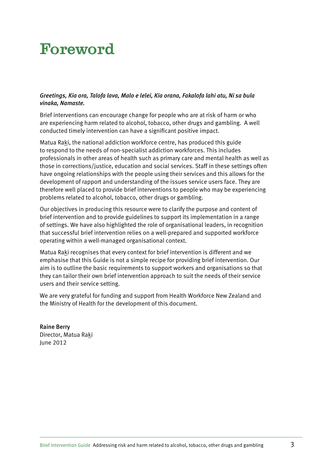# Foreword

#### *Greetings, Kia ora, Talofa lava, Malo e lelei, Kia orana, Fakalofa lahi atu, Ni sa bula vinaka, Namaste.*

Brief interventions can encourage change for people who are at risk of harm or who are experiencing harm related to alcohol, tobacco, other drugs and gambling. A well conducted timely intervention can have a significant positive impact.

Matua Raki, the national addiction workforce centre, has produced this guide to respond to the needs of non-specialist addiction workforces. This includes professionals in other areas of health such as primary care and mental health as well as those in corrections/justice, education and social services. Staff in these settings often have ongoing relationships with the people using their services and this allows for the development of rapport and understanding of the issues service users face. They are therefore well placed to provide brief interventions to people who may be experiencing problems related to alcohol, tobacco, other drugs or gambling.

Our objectives in producing this resource were to clarify the purpose and content of brief intervention and to provide guidelines to support its implementation in a range of settings. We have also highlighted the role of organisational leaders, in recognition that successful brief intervention relies on a well-prepared and supported workforce operating within a well-managed organisational context.

Matua Raki recognises that every context for brief intervention is different and we emphasise that this Guide is not a simple recipe for providing brief intervention. Our aim is to outline the basic requirements to support workers and organisations so that they can tailor their own brief intervention approach to suit the needs of their service users and their service setting.

We are very grateful for funding and support from Health Workforce New Zealand and the Ministry of Health for the development of this document.

Raine Berry Director, Matua Raki June 2012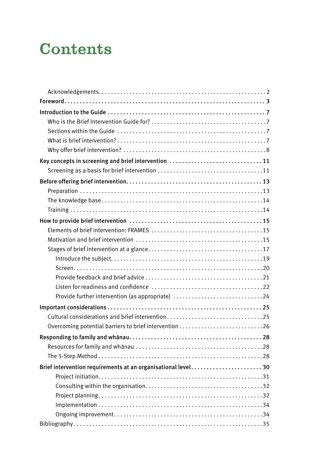# **Contents**

| Key concepts in screening and brief intervention  11         |
|--------------------------------------------------------------|
|                                                              |
|                                                              |
|                                                              |
|                                                              |
|                                                              |
|                                                              |
|                                                              |
|                                                              |
|                                                              |
|                                                              |
|                                                              |
|                                                              |
|                                                              |
| Provide further intervention (as appropriate) 24             |
|                                                              |
|                                                              |
|                                                              |
|                                                              |
|                                                              |
|                                                              |
| Brief intervention requirements at an organisational level30 |
|                                                              |
|                                                              |
|                                                              |
|                                                              |
|                                                              |
|                                                              |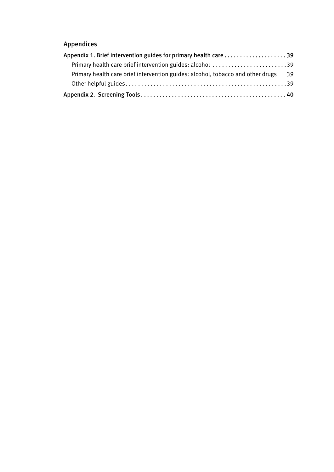### Appendices

| Appendix 1. Brief intervention guides for primary health care 39                   |  |
|------------------------------------------------------------------------------------|--|
| Primary health care brief intervention guides: alcohol 39                          |  |
| Primary health care brief intervention guides: alcohol, tobacco and other drugs 39 |  |
|                                                                                    |  |
|                                                                                    |  |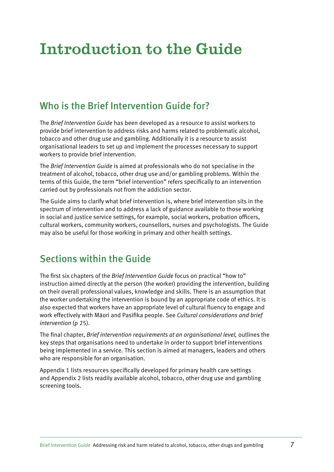# Introduction to the Guide

## Who is the Brief Intervention Guide for?

The *Brief Intervention Guide* has been developed as a resource to assist workers to provide brief intervention to address risks and harms related to problematic alcohol, tobacco and other drug use and gambling. Additionally it is a resource to assist organisational leaders to set up and implement the processes necessary to support workers to provide brief intervention.

The *Brief Intervention Guide* is aimed at professionals who do not specialise in the treatment of alcohol, tobacco, other drug use and/or gambling problems. Within the terms of this Guide, the term "brief intervention" refers specifically to an intervention carried out by professionals not from the addiction sector.

The Guide aims to clarify what brief intervention is, where brief intervention sits in the spectrum of intervention and to address a lack of guidance available to those working in social and justice service settings, for example, social workers, probation officers, cultural workers, community workers, counsellors, nurses and psychologists. The Guide may also be useful for those working in primary and other health settings.

## Sections within the Guide

The first six chapters of the *Brief Intervention Guide* focus on practical "how to" instruction aimed directly at the person (the worker) providing the intervention, building on their overall professional values, knowledge and skills. There is an assumption that the worker undertaking the intervention is bound by an appropriate code of ethics. It is also expected that workers have an appropriate level of cultural fluency to engage and work effectively with Màori and Pasifika people. See *Cultural considerations and brief intervention* (p 25).

The final chapter, *Brief intervention requirements at an organisational level,* outlines the key steps that organisations need to undertake in order to support brief interventions being implemented in a service. This section is aimed at managers, leaders and others who are responsible for an organisation.

Appendix 1 lists resources specifically developed for primary health care settings and Appendix 2 lists readily available alcohol, tobacco, other drug use and gambling screening tools.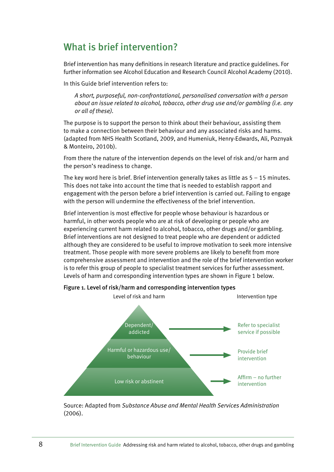### What is brief intervention?

Brief intervention has many definitions in research literature and practice guidelines. For further information see Alcohol Education and Research Council Alcohol Academy (2010).

In this Guide brief intervention refers to:

*A short, purposeful, non-confrontational, personalised conversation with a person about an issue related to alcohol, tobacco, other drug use and/or gambling (i.e. any or all of these).* 

The purpose is to support the person to think about their behaviour, assisting them to make a connection between their behaviour and any associated risks and harms. (adapted from NHS Health Scotland, 2009, and Humeniuk, Henry-Edwards, Ali, Poznyak & Monteiro, 2010b).

From there the nature of the intervention depends on the level of risk and/or harm and the person's readiness to change.

The key word here is brief. Brief intervention generally takes as little as 5 – 15 minutes. This does not take into account the time that is needed to establish rapport and engagement with the person before a brief intervention is carried out. Failing to engage with the person will undermine the effectiveness of the brief intervention.

Brief intervention is most effective for people whose behaviour is hazardous or harmful, in other words people who are at risk of developing or people who are experiencing current harm related to alcohol, tobacco, other drugs and/or gambling. Brief interventions are not designed to treat people who are dependent or addicted although they are considered to be useful to improve motivation to seek more intensive treatment. Those people with more severe problems are likely to benefit from more comprehensive assessment and intervention and the role of the brief intervention worker is to refer this group of people to specialist treatment services for further assessment. Levels of harm and corresponding intervention types are shown in Figure 1 below.



Figure 1. Level of risk/harm and corresponding intervention types

Source: Adapted from *Substance Abuse and Mental Health Services Administration* (2006).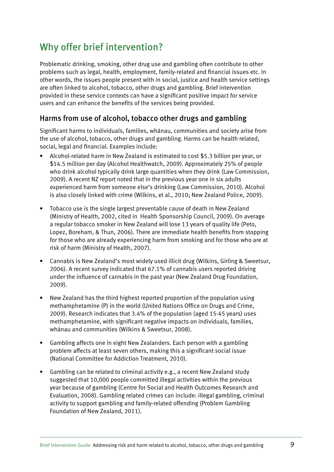## Why offer brief intervention?

Problematic drinking, smoking, other drug use and gambling often contribute to other problems such as legal, health, employment, family-related and financial issues etc. In other words, the issues people present with in social, justice and health service settings are often linked to alcohol, tobacco, other drugs and gambling. Brief intervention provided in these service contexts can have a significant positive impact for service users and can enhance the benefits of the services being provided.

### Harms from use of alcohol, tobacco other drugs and gambling

Significant harms to individuals, families, whànau, communities and society arise from the use of alcohol, tobacco, other drugs and gambling. Harms can be health related, social, legal and financial. Examples include:

- Alcohol-related harm in New Zealand is estimated to cost \$5.3 billion per year, or \$14.5 million per day (Alcohol Healthwatch, 2009). Approximately 25% of people who drink alcohol typically drink large quantities when they drink (Law Commission, 2009). A recent NZ report noted that in the previous year one in six adults experienced harm from someone else's drinking (Law Commission, 2010). Alcohol is also closely linked with crime (Wilkins, et al., 2010; New Zealand Police, 2009).
- Tobacco use is the single largest preventable cause of death in New Zealand (Ministry of Health, 2002, cited in Health Sponsorship Council, 2009). On average a regular tobacco smoker in New Zealand will lose 13 years of quality life (Peto, Lopez, Boreham, & Thun, 2006). There are immediate health benefits from stopping for those who are already experiencing harm from smoking and for those who are at risk of harm (Ministry of Health, 2007).
- Cannabis is New Zealand's most widely used illicit drug (Wilkins, Girling & Sweetsur, 2006). A recent survey indicated that 67.1% of cannabis users reported driving under the influence of cannabis in the past year (New Zealand Drug Foundation, 2009).
- New Zealand has the third highest reported proportion of the population using methamphetamine (P) in the world (United Nations Office on Drugs and Crime, 2009). Research indicates that 3.4% of the population (aged 15-45 years) uses methamphetamine, with significant negative impacts on individuals, families, whànau and communities (Wilkins & Sweetsur, 2008).
- Gambling affects one in eight New Zealanders. Each person with a gambling problem affects at least seven others, making this a significant social issue (National Committee for Addiction Treatment, 2010).
- • Gambling can be related to criminal activity e.g., a recent New Zealand study suggested that 10,000 people committed illegal activities within the previous year because of gambling (Centre for Social and Health Outcomes Research and Evaluation, 2008). Gambling related crimes can include: illegal gambling, criminal activity to support gambling and family-related offending (Problem Gambling Foundation of New Zealand, 2011).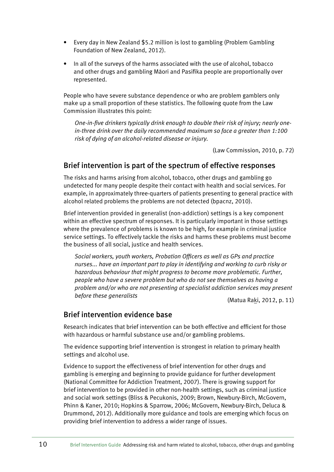- Every day in New Zealand \$5.2 million is lost to gambling (Problem Gambling Foundation of New Zealand, 2012).
- In all of the surveys of the harms associated with the use of alcohol, tobacco and other drugs and gambling Màori and Pasifika people are proportionally over represented.

People who have severe substance dependence or who are problem gamblers only make up a small proportion of these statistics. The following quote from the Law Commission illustrates this point:

*One-in-five drinkers typically drink enough to double their risk of injury; nearly onein-three drink over the daily recommended maximum so face a greater than 1:100 risk of dying of an alcohol-related disease or injury.* 

(Law Commission, 2010, p. 72)

### Brief intervention is part of the spectrum of effective responses

The risks and harms arising from alcohol, tobacco, other drugs and gambling go undetected for many people despite their contact with health and social services. For example, in approximately three-quarters of patients presenting to general practice with alcohol related problems the problems are not detected (bpacnz, 2010).

Brief intervention provided in generalist (non-addiction) settings is a key component within an effective spectrum of responses. It is particularly important in those settings where the prevalence of problems is known to be high, for example in criminal justice service settings. To effectively tackle the risks and harms these problems must become the business of all social, justice and health services.

*Social workers, youth workers, Probation Officers as well as GPs and practice nurses... have an important part to play in identifying and working to curb risky or hazardous behaviour that might progress to become more problematic. Further, people who have a severe problem but who do not see themselves as having a problem and/or who are not presenting at specialist addiction services may present before these generalists* (Matua Raki, 2012, p. 11)

### Brief intervention evidence base

Research indicates that brief intervention can be both effective and efficient for those with hazardous or harmful substance use and/or gambling problems.

The evidence supporting brief intervention is strongest in relation to primary health settings and alcohol use.

Evidence to support the effectiveness of brief intervention for other drugs and gambling is emerging and beginning to provide guidance for further development (National Committee for Addiction Treatment, 2007). There is growing support for brief intervention to be provided in other non-health settings, such as criminal justice and social work settings (Bliss & Pecukonis, 2009; Brown, Newbury-Birch, McGovern, Phinn & Kaner, 2010; Hopkins & Sparrow, 2006; McGovern, Newbury-Birch, Deluca & Drummond, 2012). Additionally more guidance and tools are emerging which focus on providing brief intervention to address a wider range of issues.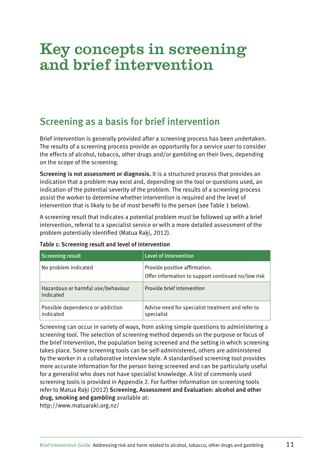# Key concepts in screening and brief intervention

## Screening as a basis for brief intervention

Brief intervention is generally provided after a screening process has been undertaken. The results of a screening process provide an opportunity for a service user to consider the effects of alcohol, tobacco, other drugs and/or gambling on their lives, depending on the scope of the screening.

Screening is not assessment or diagnosis. It is a structured process that provides an indication that a problem may exist and, depending on the tool or questions used, an indication of the potential severity of the problem. The results of a screening process assist the worker to determine whether intervention is required and the level of intervention that is likely to be of most benefit to the person (see Table 1 below).

A screening result that indicates a potential problem must be followed up with a brief intervention, referral to a specialist service or with a more detailed assessment of the problem potentially identified (Matua Raki, 2012).

| <b>Screening result</b>                         | Level of intervention                                                               |
|-------------------------------------------------|-------------------------------------------------------------------------------------|
| No problem indicated                            | Provide positive affirmation.<br>Offer information to support continued no/low risk |
| Hazardous or harmful use/behaviour<br>indicated | Provide brief intervention                                                          |
| Possible dependence or addiction<br>indicated   | Advise need for specialist treatment and refer to<br>specialist                     |

#### Table 1: Screening result and level of intervention

Screening can occur in variety of ways, from asking simple questions to administering a screening tool. The selection of screening method depends on the purpose or focus of the brief intervention, the population being screened and the setting in which screening takes place. Some screening tools can be self-administered, others are administered by the worker in a collaborative interview style. A standardised screening tool provides more accurate information for the person being screened and can be particularly useful for a generalist who does not have specialist knowledge. A list of commonly used screening tools is provided in Appendix 2. For further information on screening tools refer to Matua Raki (2012) Screening, Assessment and Evaluation: alcohol and other drug, smoking and gambling available at:

http://www.matuaraki.org.nz/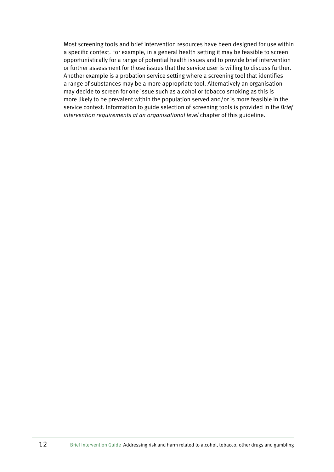Most screening tools and brief intervention resources have been designed for use within a specific context. For example, in a general health setting it may be feasible to screen opportunistically for a range of potential health issues and to provide brief intervention or further assessment for those issues that the service user is willing to discuss further. Another example is a probation service setting where a screening tool that identifies a range of substances may be a more appropriate tool. Alternatively an organisation may decide to screen for one issue such as alcohol or tobacco smoking as this is more likely to be prevalent within the population served and/or is more feasible in the service context. Information to guide selection of screening tools is provided in the *Brief intervention requirements at an organisational level* chapter of this guideline.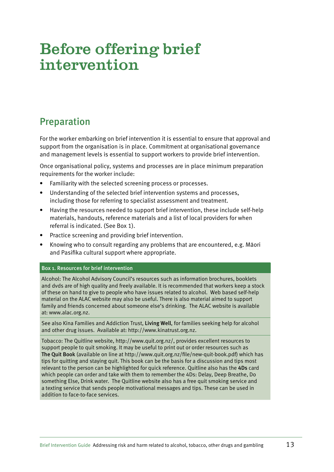# Before offering brief intervention

## Preparation

For the worker embarking on brief intervention it is essential to ensure that approval and support from the organisation is in place. Commitment at organisational governance and management levels is essential to support workers to provide brief intervention.

Once organisational policy, systems and processes are in place minimum preparation requirements for the worker include:

- Familiarity with the selected screening process or processes.
- Understanding of the selected brief intervention systems and processes, including those for referring to specialist assessment and treatment.
- Having the resources needed to support brief intervention, these include self-help materials, handouts, reference materials and a list of local providers for when referral is indicated. (See Box 1).
- Practice screening and providing brief intervention.
- Knowing who to consult regarding any problems that are encountered, e.g. Māori and Pasifika cultural support where appropriate.

#### Box 1. Resources for brief intervention

Alcohol: The Alcohol Advisory Council's resources such as information brochures, booklets and dvds are of high quality and freely available. It is recommended that workers keep a stock of these on hand to give to people who have issues related to alcohol. Web based self-help material on the ALAC website may also be useful. There is also material aimed to support family and friends concerned about someone else's drinking. The ALAC website is available at: www.alac.org.nz.

See also Kina Families and Addiction Trust, Living Well, for families seeking help for alcohol and other drug issues. Available at: http://www.kinatrust.org.nz.

Tobacco: The Quitline website, http://www.quit.org.nz/, provides excellent resources to support people to quit smoking. It may be useful to print out or order resources such as The Quit Book (available on line at http://www.quit.org.nz/file/new-quit-book.pdf) which has tips for quitting and staying quit. This book can be the basis for a discussion and tips most relevant to the person can be highlighted for quick reference. Quitline also has the 4Ds card which people can order and take with them to remember the 4Ds: Delay, Deep Breathe, Do something Else, Drink water. The Quitline website also has a free quit smoking service and a texting service that sends people motivational messages and tips. These can be used in addition to face-to-face services.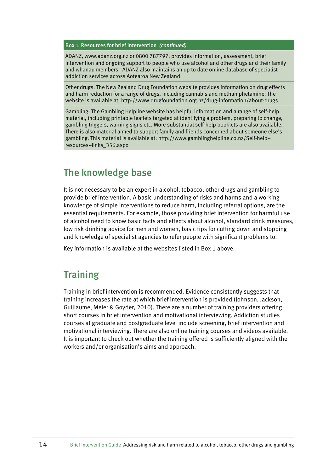Box 1. Resources for brief intervention *(continued)*

ADANZ, www.adanz.org.nz or 0800 787797, provides information, assessment, brief intervention and ongoing support to people who use alcohol and other drugs and their family and whànau members. ADANZ also maintains an up to date online database of specialist addiction services across Aotearoa New Zealand

Other drugs: The New Zealand Drug Foundation website provides information on drug effects and harm reduction for a range of drugs, including cannabis and methamphetamine. The website is available at: http://www.drugfoundation.org.nz/drug-information/about-drugs

Gambling: The Gambling Helpline website has helpful information and a range of self-help material, including printable leaflets targeted at identifying a problem, preparing to change, gambling triggers, warning signs etc. More substantial self-help booklets are also available. There is also material aimed to support family and friends concerned about someone else's gambling. This material is available at: http://www.gamblinghelpline.co.nz/Self-help- resources--links\_356.aspx

### The knowledge base

It is not necessary to be an expert in alcohol, tobacco, other drugs and gambling to provide brief intervention. A basic understanding of risks and harms and a working knowledge of simple interventions to reduce harm, including referral options, are the essential requirements. For example, those providing brief intervention for harmful use of alcohol need to know basic facts and effects about alcohol, standard drink measures, low risk drinking advice for men and women, basic tips for cutting down and stopping and knowledge of specialist agencies to refer people with significant problems to.

Key information is available at the websites listed in Box 1 above.

### **Training**

Training in brief intervention is recommended. Evidence consistently suggests that training increases the rate at which brief intervention is provided (Johnson, Jackson, Guillaume, Meier & Goyder, 2010). There are a number of training providers offering short courses in brief intervention and motivational interviewing. Addiction studies courses at graduate and postgraduate level include screening, brief intervention and motivational interviewing. There are also online training courses and videos available. It is important to check out whether the training offered is sufficiently aligned with the workers and/or organisation's aims and approach.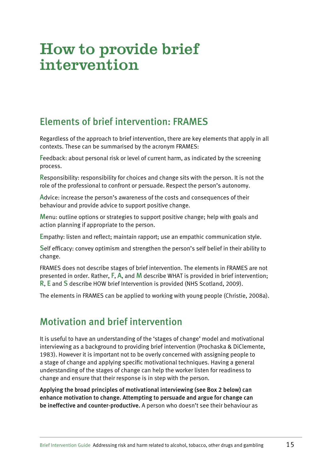# How to provide brief intervention

## Elements of brief intervention: FRAMES

Regardless of the approach to brief intervention, there are key elements that apply in all contexts. These can be summarised by the acronym FRAMES:

Feedback: about personal risk or level of current harm, as indicated by the screening process.

Responsibility: responsibility for choices and change sits with the person. It is not the role of the professional to confront or persuade. Respect the person's autonomy.

Advice: increase the person's awareness of the costs and consequences of their behaviour and provide advice to support positive change.

Menu: outline options or strategies to support positive change; help with goals and action planning if appropriate to the person.

Empathy: listen and reflect; maintain rapport; use an empathic communication style.

Self efficacy: convey optimism and strengthen the person's self belief in their ability to change.

FRAMES does not describe stages of brief intervention. The elements in FRAMES are not presented in order. Rather, F, A, and M describe WHAT is provided in brief intervention; R, E and S describe HOW brief Intervention is provided (NHS Scotland, 2009).

The elements in FRAMES can be applied to working with young people (Christie, 2008a).

### Motivation and brief intervention

It is useful to have an understanding of the 'stages of change' model and motivational interviewing as a background to providing brief intervention (Prochaska & DiClemente, 1983). However it is important not to be overly concerned with assigning people to a stage of change and applying specific motivational techniques. Having a general understanding of the stages of change can help the worker listen for readiness to change and ensure that their response is in step with the person.

Applying the broad principles of motivational interviewing (see Box 2 below) can enhance motivation to change. Attempting to persuade and argue for change can be ineffective and counter-productive. A person who doesn't see their behaviour as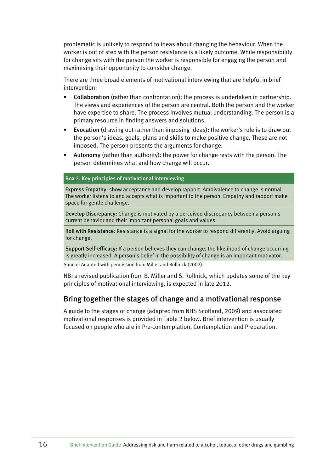problematic is unlikely to respond to ideas about changing the behaviour. When the worker is out of step with the person resistance is a likely outcome. While responsibility for change sits with the person the worker is responsible for engaging the person and maximising their opportunity to consider change.

There are three broad elements of motivational interviewing that are helpful in brief intervention:

- Collaboration (rather than confrontation): the process is undertaken in partnership. The views and experiences of the person are central. Both the person and the worker have expertise to share. The process involves mutual understanding. The person is a primary resource in finding answers and solutions.
- Evocation (drawing out rather than imposing ideas): the worker's role is to draw out the person's ideas, goals, plans and skills to make positive change. These are not imposed. The person presents the arguments for change.
- Autonomy (rather than authority): the power for change rests with the person. The person determines what and how change will occur.

#### Box 2. Key principles of motivational interviewing

Express Empathy: show acceptance and develop rapport. Ambivalence to change is normal. The worker listens to and accepts what is important to the person. Empathy and rapport make space for gentle challenge.

Develop Discrepancy: Change is motivated by a perceived discrepancy between a person's current behavior and their important personal goals and values.

Roll with Resistance: Resistance is a signal for the worker to respond differently. Avoid arguing for change.

Support Self-efficacy: If a person believes they can change, the likelihood of change occurring is greatly increased. A person's belief in the possibility of change is an important motivator.

Source: Adapted with permission from Miller and Rollnick (2002).

NB: a revised publication from B. Miller and S. Rollnick, which updates some of the key principles of motivational interviewing, is expected in late 2012.

### Bring together the stages of change and a motivational response

A guide to the stages of change (adapted from NHS Scotland, 2009) and associated motivational responses is provided in Table 2 below. Brief intervention is usually focused on people who are in Pre-contemplation, Contemplation and Preparation.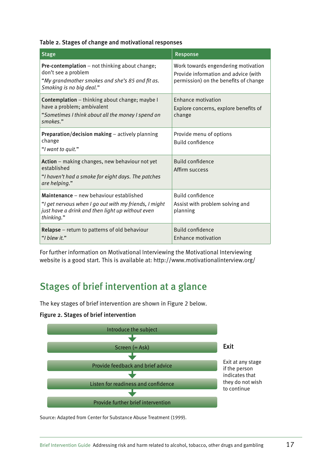|  |  |  | Table 2. Stages of change and motivational responses |  |
|--|--|--|------------------------------------------------------|--|
|--|--|--|------------------------------------------------------|--|

| <b>Stage</b>                                                                                                                                                       | Response                                                                                                             |
|--------------------------------------------------------------------------------------------------------------------------------------------------------------------|----------------------------------------------------------------------------------------------------------------------|
| Pre-contemplation - not thinking about change;<br>don't see a problem<br>"My grandmother smokes and she's 85 and fit as.<br>Smoking is no big deal."               | Work towards engendering motivation<br>Provide information and advice (with<br>permission) on the benefits of change |
| Contemplation - thinking about change; maybe I<br>have a problem; ambivalent<br>"Sometimes I think about all the money I spend on<br>smokes."                      | <b>Enhance motivation</b><br>Explore concerns, explore benefits of<br>change                                         |
| <b>Preparation/decision making</b> $-$ actively planning<br>change<br>"I want to quit."                                                                            | Provide menu of options<br><b>Build confidence</b>                                                                   |
| Action - making changes, new behaviour not yet<br>established<br>"I haven't had a smoke for eight days. The patches<br>are helping."                               | Build confidence<br>Affirm success                                                                                   |
| Maintenance – new behaviour established<br>"I get nervous when I go out with my friends, I might<br>just have a drink and then light up without even<br>thinking." | <b>Build confidence</b><br>Assist with problem solving and<br>planning                                               |
| Relapse - return to patterns of old behaviour<br>"I blew it."                                                                                                      | <b>Build confidence</b><br>Enhance motivation                                                                        |

For further information on Motivational Interviewing the Motivational Interviewing website is a good start. This is available at: http://www.motivationalinterview.org/

### Stages of brief intervention at a glance

The key stages of brief intervention are shown in Figure 2 below.

#### Figure 2. Stages of brief intervention



Source: Adapted from Center for Substance Abuse Treatment (1999).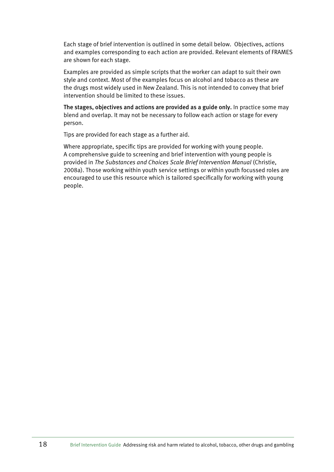Each stage of brief intervention is outlined in some detail below. Objectives, actions and examples corresponding to each action are provided. Relevant elements of FRAMES are shown for each stage.

Examples are provided as simple scripts that the worker can adapt to suit their own style and context. Most of the examples focus on alcohol and tobacco as these are the drugs most widely used in New Zealand. This is not intended to convey that brief intervention should be limited to these issues.

The stages, objectives and actions are provided as a guide only. In practice some may blend and overlap. It may not be necessary to follow each action or stage for every person.

Tips are provided for each stage as a further aid.

Where appropriate, specific tips are provided for working with young people. A comprehensive guide to screening and brief intervention with young people is provided in *The Substances and Choices Scale Brief Intervention Manual* (Christie, 2008a). Those working within youth service settings or within youth focussed roles are encouraged to use this resource which is tailored specifically for working with young people.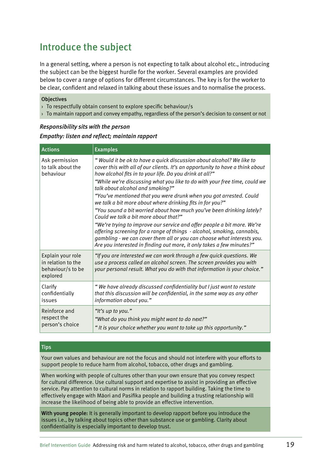## Introduce the subject

In a general setting, where a person is not expecting to talk about alcohol etc., introducing the subject can be the biggest hurdle for the worker. Several examples are provided below to cover a range of options for different circumstances. The key is for the worker to be clear, confident and relaxed in talking about these issues and to normalise the process.

#### **Objectives**

- › To respectfully obtain consent to explore specific behaviour/s
- › To maintain rapport and convey empathy, regardless of the person's decision to consent or not

#### *Responsibility sits with the person*

*Empathy: listen and reflect; maintain rapport* 

| <b>Actions</b>                                                           | <b>Examples</b>                                                                                                                                                                                                                                                                                                                   |
|--------------------------------------------------------------------------|-----------------------------------------------------------------------------------------------------------------------------------------------------------------------------------------------------------------------------------------------------------------------------------------------------------------------------------|
| Ask permission<br>to talk about the<br>behaviour                         | "Would it be ok to have a quick discussion about alcohol? We like to<br>cover this with all of our clients. It's an opportunity to have a think about<br>how alcohol fits in to your life. Do you drink at all?"<br>"While we're discussing what you like to do with your free time, could we<br>talk about alcohol and smoking?" |
|                                                                          | "You've mentioned that you were drunk when you got arrested. Could<br>we talk a bit more about where drinking fits in for you?"                                                                                                                                                                                                   |
|                                                                          | "You sound a bit worried about how much you've been drinking lately?<br>Could we talk a bit more about that?"                                                                                                                                                                                                                     |
|                                                                          | "We're trying to improve our service and offer people a bit more. We're<br>offering screening for a range of things - alcohol, smoking, cannabis,<br>gambling - we can cover them all or you can choose what interests you.<br>Are you interested in finding out more, it only takes a few minutes?"                              |
| Explain your role<br>in relation to the<br>behaviour/s to be<br>explored | "If you are interested we can work through a few quick questions. We<br>use a process called an alcohol screen. The screen provides you with<br>your personal result. What you do with that information is your choice."                                                                                                          |
| Clarify<br>confidentially<br>issues                                      | "We have already discussed confidentiality but I just want to restate<br>that this discussion will be confidential, in the same way as any other<br>information about you."                                                                                                                                                       |
| Reinforce and<br>respect the<br>person's choice                          | "It's up to you."<br>"What do you think you might want to do next?"<br>"It is your choice whether you want to take up this opportunity."                                                                                                                                                                                          |

#### **Tips**

Your own values and behaviour are not the focus and should not interfere with your efforts to support people to reduce harm from alcohol, tobacco, other drugs and gambling.

When working with people of cultures other than your own ensure that you convey respect for cultural difference. Use cultural support and expertise to assist in providing an effective service. Pay attention to cultural norms in relation to rapport building. Taking the time to effectively engage with Màori and Pasifika people and building a trusting relationship will increase the likelihood of being able to provide an effective intervention.

With young people: It is generally important to develop rapport before you introduce the issues i.e., by talking about topics other than substance use or gambling. Clarity about confidentiality is especially important to develop trust.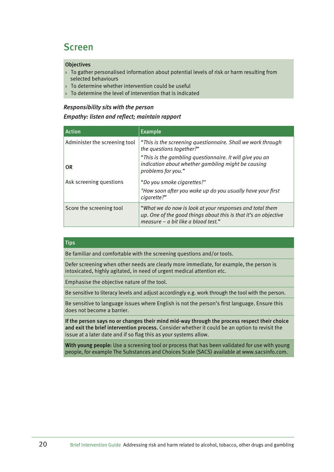### Screen

#### **Objectives**

- › To gather personalised information about potential levels of risk or harm resulting from selected behaviours
- › To determine whether intervention could be useful
- $\rightarrow$  To determine the level of intervention that is indicated

#### *Responsibility sits with the person*

#### *Empathy: listen and reflect; maintain rapport*

| <b>Action</b>                 | <b>Example</b>                                                                                                                                                     |
|-------------------------------|--------------------------------------------------------------------------------------------------------------------------------------------------------------------|
| Administer the screening tool | "This is the screening questionnaire. Shall we work through<br>the questions together?"                                                                            |
| 0R                            | "This is the gambling questionnaire. It will give you an<br>indication about whether gambling might be causing<br>problems for you."                               |
| Ask screening questions       | "Do you smoke cigarettes?"                                                                                                                                         |
|                               | "How soon after you wake up do you usually have your first<br>cigarette?"                                                                                          |
| Score the screening tool      | "What we do now is look at your responses and total them<br>up. One of the good things about this is that it's an objective<br>measure - a bit like a blood test." |

#### **Tips**

Be familiar and comfortable with the screening questions and/or tools.

Defer screening when other needs are clearly more immediate, for example, the person is intoxicated, highly agitated, in need of urgent medical attention etc.

Emphasise the objective nature of the tool.

Be sensitive to literacy levels and adjust accordingly e.g. work through the tool with the person.

Be sensitive to language issues where English is not the person's first language. Ensure this does not become a barrier.

If the person says no or changes their mind mid-way through the process respect their choice and exit the brief intervention process. Consider whether it could be an option to revisit the issue at a later date and if so flag this as your systems allow.

With young people: Use a screening tool or process that has been validated for use with young people, for example The Substances and Choices Scale (SACS) available at www.sacsinfo.com.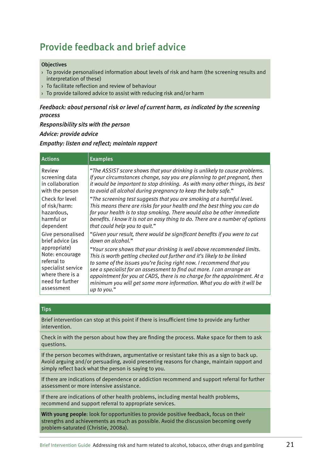## Provide feedback and brief advice

#### **Objectives**

- › To provide personalised information about levels of risk and harm (the screening results and interpretation of these)
- › To facilitate reflection and review of behaviour
- › To provide tailored advice to assist with reducing risk and/or harm

#### *Feedback: about personal risk or level of current harm, as indicated by the screening process*

*Responsibility sits with the person* 

#### *Advice: provide advice*

*Empathy: listen and reflect; maintain rapport*

| <b>Actions</b>     | <b>Examples</b>                                                               |
|--------------------|-------------------------------------------------------------------------------|
| Review             | "The ASSIST score shows that your drinking is unlikely to cause problems.     |
| screening data     | If your circumstances change, say you are planning to get pregnant, then      |
| in collaboration   | it would be important to stop drinking. As with many other things, its best   |
| with the person    | to avoid all alcohol during pregnancy to keep the baby safe."                 |
| Check for level    | "The screening test suggests that you are smoking at a harmful level.         |
| of risk/harm:      | This means there are risks for your health and the best thing you can do      |
| hazardous,         | for your health is to stop smoking. There would also be other immediate       |
| harmful or         | benefits. I know it is not an easy thing to do. There are a number of options |
| dependent          | that could help you to quit."                                                 |
| Give personalised  | "Given your result, there would be significant benefits if you were to cut    |
| brief advice (as   | down on alcohol."                                                             |
| appropriate)       | "Your score shows that your drinking is well above recommended limits.        |
| Note: encourage    | This is worth getting checked out further and it's likely to be linked        |
| referral to        | to some of the issues you're facing right now. I recommend that you           |
| specialist service | see a specialist for an assessment to find out more. I can arrange an         |
| where there is a   | appointment for you at CADS, there is no charge for the appointment. At a     |
| need for further   | minimum you will get some more information. What you do with it will be       |
| assessment         | up to you."                                                                   |

#### **Tips**

Brief intervention can stop at this point if there is insufficient time to provide any further intervention.

Check in with the person about how they are finding the process. Make space for them to ask questions.

If the person becomes withdrawn, argumentative or resistant take this as a sign to back up. Avoid arguing and/or persuading, avoid presenting reasons for change, maintain rapport and simply reflect back what the person is saying to you.

If there are indications of dependence or addiction recommend and support referral for further assessment or more intensive assistance.

If there are indications of other health problems, including mental health problems, recommend and support referral to appropriate services.

With young people: look for opportunities to provide positive feedback, focus on their strengths and achievements as much as possible. Avoid the discussion becoming overly problem-saturated (Christie, 2008a).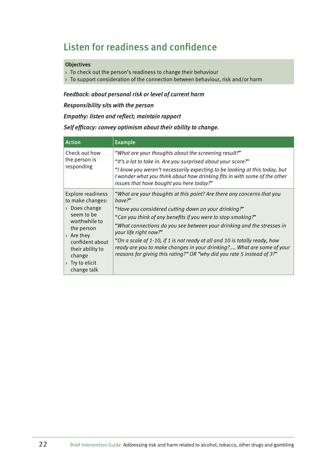## Listen for readiness and confidence

#### **Objectives**

- › To check out the person's readiness to change their behaviour
- $\rightarrow$  To support consideration of the connection between behaviour, risk and/or harm

#### *Feedback: about personal risk or level of current harm*

*Responsibility sits with the person* 

#### *Empathy: listen and reflect; maintain rapport*

#### *Self efficacy: convey optimism about their ability to change.*

| <b>Action</b>                                                                                                                                                                                                                                   | <b>Example</b>                                                                                                                                                                                                                                                                                                                                                                                                                                                                                                                               |
|-------------------------------------------------------------------------------------------------------------------------------------------------------------------------------------------------------------------------------------------------|----------------------------------------------------------------------------------------------------------------------------------------------------------------------------------------------------------------------------------------------------------------------------------------------------------------------------------------------------------------------------------------------------------------------------------------------------------------------------------------------------------------------------------------------|
| Check out how<br>the person is<br>responding                                                                                                                                                                                                    | "What are your thoughts about the screening result?"<br>"It's a lot to take in. Are you surprised about your score?"<br>"I know you weren't necessarily expecting to be looking at this today, but<br>I wonder what you think about how drinking fits in with some of the other<br>issues that have bought you here today?"                                                                                                                                                                                                                  |
| <b>Explore readiness</b><br>to make changes:<br>$\rightarrow$ Does change<br>seem to be<br>worthwhile to<br>the person<br>$\rightarrow$ Are they<br>confident about<br>their ability to<br>change<br>$\rightarrow$ Try to elicit<br>change talk | "What are your thoughts at this point? Are there any concerns that you<br>have?"<br>"Have you considered cutting down on your drinking?"<br>"Can you think of any benefits if you were to stop smoking?"<br>"What connections do you see between your drinking and the stresses in<br>your life right now?"<br>"On a scale of 1-10, if 1 is not ready at all and 10 is totally ready, how<br>ready are you to make changes in your drinking? What are some of your<br>reasons for giving this rating?" OR "why did you rate 5 instead of 3?" |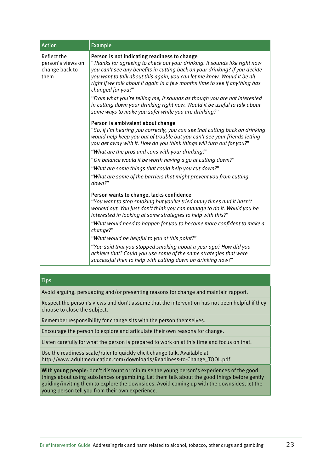| <b>Action</b>                                              | <b>Example</b>                                                                                                                                                                                                                                                                                                                                                                                                                                                                                                                                                                                          |
|------------------------------------------------------------|---------------------------------------------------------------------------------------------------------------------------------------------------------------------------------------------------------------------------------------------------------------------------------------------------------------------------------------------------------------------------------------------------------------------------------------------------------------------------------------------------------------------------------------------------------------------------------------------------------|
| Reflect the<br>person's views on<br>change back to<br>them | Person is not indicating readiness to change<br>"Thanks for agreeing to check out your drinking. It sounds like right now<br>you can't see any benefits in cutting back on your drinking? If you decide<br>you want to talk about this again, you can let me know. Would it be all<br>right if we talk about it again in a few months time to see if anything has<br>changed for you?"                                                                                                                                                                                                                  |
|                                                            | "From what you're telling me, it sounds as though you are not interested<br>in cutting down your drinking right now. Would it be useful to talk about<br>some ways to make you safer while you are drinking?"                                                                                                                                                                                                                                                                                                                                                                                           |
|                                                            | Person is ambivalent about change<br>"So, if I'm hearing you correctly, you can see that cutting back on drinking<br>would help keep you out of trouble but you can't see your friends letting<br>you get away with it. How do you think things will turn out for you?"<br>"What are the pros and cons with your drinking?"                                                                                                                                                                                                                                                                             |
|                                                            | "On balance would it be worth having a go at cutting down?"                                                                                                                                                                                                                                                                                                                                                                                                                                                                                                                                             |
|                                                            | "What are some things that could help you cut down?"                                                                                                                                                                                                                                                                                                                                                                                                                                                                                                                                                    |
|                                                            | "What are some of the barriers that might prevent you from cutting<br>down?"                                                                                                                                                                                                                                                                                                                                                                                                                                                                                                                            |
|                                                            | Person wants to change, lacks confidence<br>"You want to stop smoking but you've tried many times and it hasn't<br>worked out. You just don't think you can manage to do it. Would you be<br>interested in looking at some strategies to help with this?"<br>"What would need to happen for you to become more confident to make a<br>change?"<br>"What would be helpful to you at this point?"<br>"You said that you stopped smoking about a year ago? How did you<br>achieve that? Could you use some of the same strategies that were<br>successful then to help with cutting down on drinking now?" |

**Tips** 

Avoid arguing, persuading and/or presenting reasons for change and maintain rapport.

Respect the person's views and don't assume that the intervention has not been helpful if they choose to close the subject.

Remember responsibility for change sits with the person themselves.

Encourage the person to explore and articulate their own reasons for change.

Listen carefully for what the person is prepared to work on at this time and focus on that.

Use the readiness scale/ruler to quickly elicit change talk. Available at http://www.adultmeducation.com/downloads/Readiness-to-Change\_TOOL.pdf

With young people: don't discount or minimise the young person's experiences of the good things about using substances or gambling. Let them talk about the good things before gently guiding/inviting them to explore the downsides. Avoid coming up with the downsides, let the young person tell you from their own experience.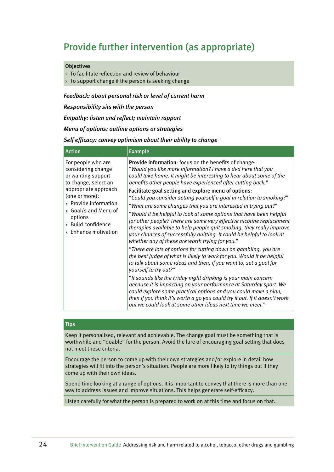## Provide further intervention (as appropriate)

#### **Objectives**

- $\rightarrow$  To facilitate reflection and review of behaviour
- › To support change if the person is seeking change

#### *Feedback: about personal risk or level of current harm*

*Responsibility sits with the person* 

*Empathy: listen and reflect; maintain rapport*

*Menu of options: outline options or strategies* 

#### *Self efficacy: convey optimism about their ability to change*

| <b>Action</b>                                                                                                                                                                                                                                        | <b>Example</b>                                                                                                                                                                                                                                                                                                                                                                                                                                                                                                                                                                                                                                                                                                                                                                                                  |
|------------------------------------------------------------------------------------------------------------------------------------------------------------------------------------------------------------------------------------------------------|-----------------------------------------------------------------------------------------------------------------------------------------------------------------------------------------------------------------------------------------------------------------------------------------------------------------------------------------------------------------------------------------------------------------------------------------------------------------------------------------------------------------------------------------------------------------------------------------------------------------------------------------------------------------------------------------------------------------------------------------------------------------------------------------------------------------|
| For people who are<br>considering change<br>or wanting support<br>to change, select an<br>appropriate approach<br>(one or more):<br>> Provide information<br>Goal/s and Menu of<br>options<br>> Build confidence<br>$\rightarrow$ Enhance motivation | Provide information: focus on the benefits of change:<br>"Would you like more information? I have a dvd here that you<br>could take home. It might be interesting to hear about some of the<br>benefits other people have experienced after cutting back."<br>Facilitate goal setting and explore menu of options:<br>"Could you consider setting yourself a goal in relation to smoking?"<br>"What are some changes that you are interested in trying out?"<br>"Would it be helpful to look at some options that have been helpful<br>for other people? There are some very effective nicotine replacement<br>therapies available to help people quit smoking, they really improve<br>your chances of successfully quitting. It could be helpful to look at<br>whether any of these are worth trying for you." |
|                                                                                                                                                                                                                                                      | "There are lots of options for cutting down on gambling, you are<br>the best judge of what is likely to work for you. Would it be helpful<br>to talk about some ideas and then, if you want to, set a goal for<br>yourself to try out?"                                                                                                                                                                                                                                                                                                                                                                                                                                                                                                                                                                         |
|                                                                                                                                                                                                                                                      | "It sounds like the Friday night drinking is your main concern<br>because it is impacting on your performance at Saturday sport. We<br>could explore some practical options and you could make a plan,<br>then if you think it's worth a go you could try it out. If it doesn't work<br>out we could look at some other ideas next time we meet."                                                                                                                                                                                                                                                                                                                                                                                                                                                               |

#### **Tips**

Keep it personalised, relevant and achievable. The change goal must be something that is worthwhile and "doable" for the person. Avoid the lure of encouraging goal setting that does not meet these criteria.

Encourage the person to come up with their own strategies and/or explore in detail how strategies will fit into the person's situation. People are more likely to try things out if they come up with their own ideas.

Spend time looking at a range of options. It is important to convey that there is more than one way to address issues and improve situations. This helps generate self-efficacy.

Listen carefully for what the person is prepared to work on at this time and focus on that.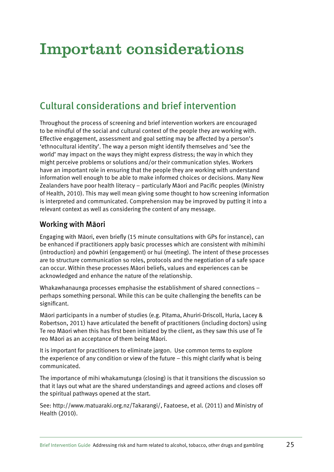# Important considerations

## Cultural considerations and brief intervention

Throughout the process of screening and brief intervention workers are encouraged to be mindful of the social and cultural context of the people they are working with. Effective engagement, assessment and goal setting may be affected by a person's 'ethnocultural identity'. The way a person might identify themselves and 'see the world' may impact on the ways they might express distress; the way in which they might perceive problems or solutions and/or their communication styles. Workers have an important role in ensuring that the people they are working with understand information well enough to be able to make informed choices or decisions. Many New Zealanders have poor health literacy – particularly Màori and Pacific peoples (Ministry of Health, 2010). This may well mean giving some thought to how screening information is interpreted and communicated. Comprehension may be improved by putting it into a relevant context as well as considering the content of any message.

### Working with Màori

Engaging with Màori, even briefly (15 minute consultations with GPs for instance), can be enhanced if practitioners apply basic processes which are consistent with mihimihi (introduction) and pòwhiri (engagement) or hui (meeting). The intent of these processes are to structure communication so roles, protocols and the negotiation of a safe space can occur. Within these processes Màori beliefs, values and experiences can be acknowledged and enhance the nature of the relationship.

Whakawhanaunga processes emphasise the establishment of shared connections – perhaps something personal. While this can be quite challenging the benefits can be significant.

Màori participants in a number of studies (e.g. Pitama, Ahuriri-Driscoll, Huria, Lacey & Robertson, 2011) have articulated the benefit of practitioners (including doctors) using Te reo Màori when this has first been initiated by the client, as they saw this use of Te reo Màori as an acceptance of them being Màori.

It is important for practitioners to eliminate jargon. Use common terms to explore the experience of any condition or view of the future – this might clarify what is being communicated.

The importance of mihi whakamutunga (closing) is that it transitions the discussion so that it lays out what are the shared understandings and agreed actions and closes off the spiritual pathways opened at the start.

See: http://www.matuaraki.org.nz/Takarangi/, Faatoese, et al. (2011) and Ministry of Health (2010).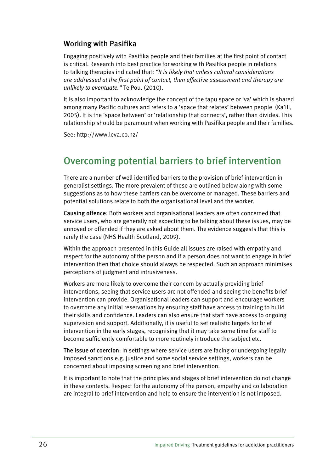### Working with Pasifika

Engaging positively with Pasifika people and their families at the first point of contact is critical. Research into best practice for working with Pasifika people in relations to talking therapies indicated that: *"It is likely that unless cultural considerations are addressed at the first point of contact, then effective assessment and therapy are unlikely to eventuate."* Te Pou. (2010).

It is also important to acknowledge the concept of the tapu space or 'va' which is shared among many Pacific cultures and refers to a 'space that relates' between people (Ka'ili, 2005). It is the 'space between' or 'relationship that connects', rather than divides. This relationship should be paramount when working with Pasifika people and their families.

See: http://www.leva.co.nz/

## Overcoming potential barriers to brief intervention

There are a number of well identified barriers to the provision of brief intervention in generalist settings. The more prevalent of these are outlined below along with some suggestions as to how these barriers can be overcome or managed. These barriers and potential solutions relate to both the organisational level and the worker.

Causing offence: Both workers and organisational leaders are often concerned that service users, who are generally not expecting to be talking about these issues, may be annoyed or offended if they are asked about them. The evidence suggests that this is rarely the case (NHS Health Scotland, 2009).

Within the approach presented in this Guide all issues are raised with empathy and respect for the autonomy of the person and if a person does not want to engage in brief intervention then that choice should always be respected. Such an approach minimises perceptions of judgment and intrusiveness.

Workers are more likely to overcome their concern by actually providing brief interventions, seeing that service users are not offended and seeing the benefits brief intervention can provide. Organisational leaders can support and encourage workers to overcome any initial reservations by ensuring staff have access to training to build their skills and confidence. Leaders can also ensure that staff have access to ongoing supervision and support. Additionally, it is useful to set realistic targets for brief intervention in the early stages, recognising that it may take some time for staff to become sufficiently comfortable to more routinely introduce the subject etc.

The issue of coercion: In settings where service users are facing or undergoing legally imposed sanctions e.g. justice and some social service settings, workers can be concerned about imposing screening and brief intervention.

It is important to note that the principles and stages of brief intervention do not change in these contexts. Respect for the autonomy of the person, empathy and collaboration are integral to brief intervention and help to ensure the intervention is not imposed.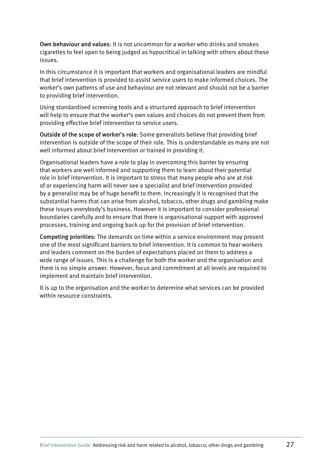Own behaviour and values: It is not uncommon for a worker who drinks and smokes cigarettes to feel open to being judged as hypocritical in talking with others about these issues.

In this circumstance it is important that workers and organisational leaders are mindful that brief intervention is provided to assist service users to make informed choices. The worker's own patterns of use and behaviour are not relevant and should not be a barrier to providing brief intervention.

Using standardised screening tools and a structured approach to brief intervention will help to ensure that the worker's own values and choices do not prevent them from providing effective brief intervention to service users.

Outside of the scope of worker's role: Some generalists believe that providing brief intervention is outside of the scope of their role. This is understandable as many are not well informed about brief intervention or trained in providing it.

Organisational leaders have a role to play in overcoming this barrier by ensuring that workers are well informed and supporting them to learn about their potential role in brief intervention. It is important to stress that many people who are at risk of or experiencing harm will never see a specialist and brief intervention provided by a generalist may be of huge benefit to them. Increasingly it is recognised that the substantial harms that can arise from alcohol, tobacco, other drugs and gambling make these issues everybody's business. However it is important to consider professional boundaries carefully and to ensure that there is organisational support with approved processes, training and ongoing back up for the provision of brief intervention.

Competing priorities: The demands on time within a service environment may present one of the most significant barriers to brief intervention. It is common to hear workers and leaders comment on the burden of expectations placed on them to address a wide range of issues. This is a challenge for both the worker and the organisation and there is no simple answer. However, focus and commitment at all levels are required to implement and maintain brief intervention.

It is up to the organisation and the worker to determine what services can be provided within resource constraints.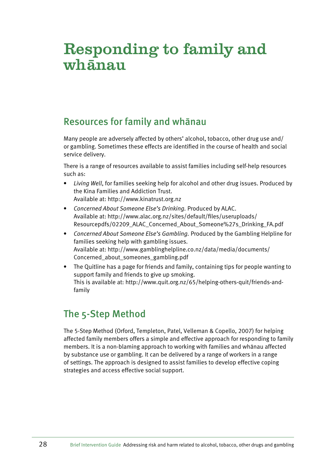# Responding to family and  $wh\bar{a}$ nau

### Resources for family and whànau

Many people are adversely affected by others' alcohol, tobacco, other drug use and/ or gambling. Sometimes these effects are identified in the course of health and social service delivery.

There is a range of resources available to assist families including self-help resources such as:

- • *Living Well*, for families seeking help for alcohol and other drug issues. Produced by the Kina Families and Addiction Trust. Available at: http://www.kinatrust.org.nz
- • *Concerned About Someone Else's Drinking.* Produced by ALAC. Available at: http://www.alac.org.nz/sites/default/files/useruploads/ Resourcepdfs/02209\_ALAC\_Concerned\_About\_Someone%27s\_Drinking\_FA.pdf
- • *Concerned About Someone Else's Gambling.* Produced by the Gambling Helpline for families seeking help with gambling issues. Available at: http://www.gamblinghelpline.co.nz/data/media/documents/ Concerned\_about\_someones\_gambling.pdf
- The Quitline has a page for friends and family, containing tips for people wanting to support family and friends to give up smoking. This is available at: http://www.quit.org.nz/65/helping-others-quit/friends-andfamily

## The 5-Step Method

The 5-Step Method (Orford, Templeton, Patel, Velleman & Copello, 2007) for helping affected family members offers a simple and effective approach for responding to family members. It is a non-blaming approach to working with families and whànau affected by substance use or gambling. It can be delivered by a range of workers in a range of settings. The approach is designed to assist families to develop effective coping strategies and access effective social support.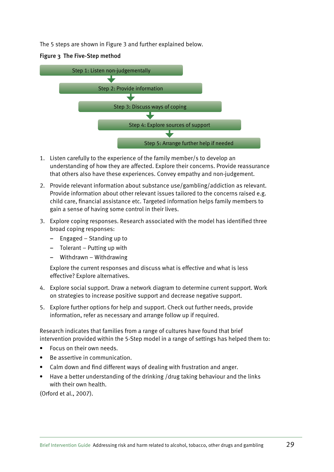The 5 steps are shown in Figure 3 and further explained below.





- 1. Listen carefully to the experience of the family member/s to develop an understanding of how they are affected. Explore their concerns. Provide reassurance that others also have these experiences. Convey empathy and non-judgement.
- 2. Provide relevant information about substance use/gambling/addiction as relevant. Provide information about other relevant issues tailored to the concerns raised e.g. child care, financial assistance etc. Targeted information helps family members to gain a sense of having some control in their lives.
- 3. Explore coping responses. Research associated with the model has identified three broad coping responses:
	- Engaged Standing up to
	- Tolerant Putting up with
	- Withdrawn Withdrawing

Explore the current responses and discuss what is effective and what is less effective? Explore alternatives.

- 4. Explore social support. Draw a network diagram to determine current support. Work on strategies to increase positive support and decrease negative support.
- 5. Explore further options for help and support. Check out further needs, provide information, refer as necessary and arrange follow up if required.

Research indicates that families from a range of cultures have found that brief intervention provided within the 5-Step model in a range of settings has helped them to:

- Focus on their own needs
- • Be assertive in communication.
- Calm down and find different ways of dealing with frustration and anger.
- Have a better understanding of the drinking /drug taking behaviour and the links with their own health.

(Orford et al., 2007).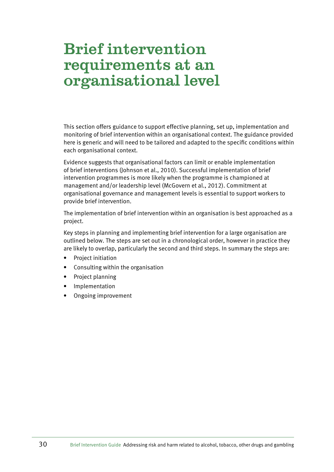# Brief intervention requirements at an organisational level

This section offers guidance to support effective planning, set up, implementation and monitoring of brief intervention within an organisational context. The guidance provided here is generic and will need to be tailored and adapted to the specific conditions within each organisational context.

Evidence suggests that organisational factors can limit or enable implementation of brief interventions (Johnson et al., 2010). Successful implementation of brief intervention programmes is more likely when the programme is championed at management and/or leadership level (McGovern et al., 2012). Commitment at organisational governance and management levels is essential to support workers to provide brief intervention.

The implementation of brief intervention within an organisation is best approached as a project.

Key steps in planning and implementing brief intervention for a large organisation are outlined below. The steps are set out in a chronological order, however in practice they are likely to overlap, particularly the second and third steps. In summary the steps are:

- Project initiation
- Consulting within the organisation
- Project planning
- • Implementation
- • Ongoing improvement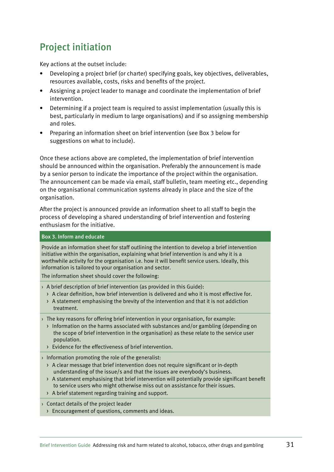## Project initiation

Key actions at the outset include:

- Developing a project brief (or charter) specifying goals, key objectives, deliverables, resources available, costs, risks and benefits of the project.
- • Assigning a project leader to manage and coordinate the implementation of brief intervention.
- Determining if a project team is required to assist implementation (usually this is best, particularly in medium to large organisations) and if so assigning membership and roles.
- Preparing an information sheet on brief intervention (see Box 3 below for suggestions on what to include).

Once these actions above are completed, the implementation of brief intervention should be announced within the organisation. Preferably the announcement is made by a senior person to indicate the importance of the project within the organisation. The announcement can be made via email, staff bulletin, team meeting etc., depending on the organisational communication systems already in place and the size of the organisation.

After the project is announced provide an information sheet to all staff to begin the process of developing a shared understanding of brief intervention and fostering enthusiasm for the initiative.

#### Box 3. Inform and educate

Provide an information sheet for staff outlining the intention to develop a brief intervention initiative within the organisation, explaining what brief intervention is and why it is a worthwhile activity for the organisation i.e. how it will benefit service users. Ideally, this information is tailored to your organisation and sector.

The information sheet should cover the following:

- $\rightarrow$  A brief description of brief intervention (as provided in this Guide):
	- > A clear definition, how brief intervention is delivered and who it is most effective for.
	- > A statement emphasising the brevity of the intervention and that it is not addiction treatment.
- $\rightarrow$  The key reasons for offering brief intervention in your organisation, for example:
	- > Information on the harms associated with substances and/or gambling (depending on the scope of brief intervention in the organisation) as these relate to the service user population.
	- > Evidence for the effectiveness of brief intervention.
- › Information promoting the role of the generalist:
	- > A clear message that brief intervention does not require significant or in-depth understanding of the issue/s and that the issues are everybody's business.
	- > A statement emphasising that brief intervention will potentially provide significant benefit to service users who might otherwise miss out on assistance for their issues.
	- > A brief statement regarding training and support.

› Contact details of the project leader

> Encouragement of questions, comments and ideas.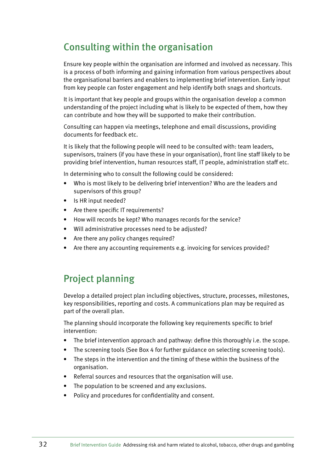### Consulting within the organisation

Ensure key people within the organisation are informed and involved as necessary. This is a process of both informing and gaining information from various perspectives about the organisational barriers and enablers to implementing brief intervention. Early input from key people can foster engagement and help identify both snags and shortcuts.

It is important that key people and groups within the organisation develop a common understanding of the project including what is likely to be expected of them, how they can contribute and how they will be supported to make their contribution.

Consulting can happen via meetings, telephone and email discussions, providing documents for feedback etc.

It is likely that the following people will need to be consulted with: team leaders, supervisors, trainers (if you have these in your organisation), front line staff likely to be providing brief intervention, human resources staff, IT people, administration staff etc.

In determining who to consult the following could be considered:

- Who is most likely to be delivering brief intervention? Who are the leaders and supervisors of this group?
- Is HR input needed?
- Are there specific IT requirements?
- How will records be kept? Who manages records for the service?
- Will administrative processes need to be adjusted?
- Are there any policy changes required?
- Are there any accounting requirements e.g. invoicing for services provided?

### Project planning

Develop a detailed project plan including objectives, structure, processes, milestones, key responsibilities, reporting and costs. A communications plan may be required as part of the overall plan.

The planning should incorporate the following key requirements specific to brief intervention:

- The brief intervention approach and pathway: define this thoroughly i.e. the scope.
- The screening tools (See Box 4 for further guidance on selecting screening tools).
- The steps in the intervention and the timing of these within the business of the organisation.
- Referral sources and resources that the organisation will use.
- The population to be screened and any exclusions.
- • Policy and procedures for confidentiality and consent.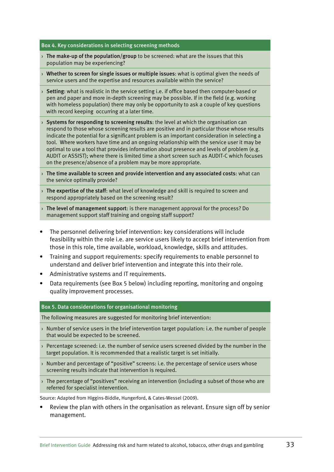#### Box 4. Key considerations in selecting screening methods

- $\rightarrow$  The make-up of the population/group to be screened: what are the issues that this population may be experiencing?
- $\rightarrow$  Whether to screen for single issues or multiple issues: what is optimal given the needs of service users and the expertise and resources available within the service?
- $\rightarrow$  Setting: what is realistic in the service setting i.e. if office based then computer-based or pen and paper and more in-depth screening may be possible. If in the field (e.g. working with homeless population) there may only be opportunity to ask a couple of key questions with record keeping occurring at a later time.
- $\rightarrow$  Systems for responding to screening results: the level at which the organisation can respond to those whose screening results are positive and in particular those whose results indicate the potential for a significant problem is an important consideration in selecting a tool. Where workers have time and an ongoing relationship with the service user it may be optimal to use a tool that provides information about presence and levels of problem (e.g. AUDIT or ASSIST); where there is limited time a short screen such as AUDIT-C which focuses on the presence/absence of a problem may be more appropriate.
- $\rightarrow$  The time available to screen and provide intervention and any associated costs: what can the service optimally provide?
- > The expertise of the staff: what level of knowledge and skill is required to screen and respond appropriately based on the screening result?
- $\rightarrow$  The level of management support: is there management approval for the process? Do management support staff training and ongoing staff support?
- The personnel delivering brief intervention: key considerations will include feasibility within the role i.e. are service users likely to accept brief intervention from those in this role, time available, workload, knowledge, skills and attitudes.
- Training and support requirements: specify requirements to enable personnel to understand and deliver brief intervention and integrate this into their role.
- Administrative systems and IT requirements.
- Data requirements (see Box 5 below) including reporting, monitoring and ongoing quality improvement processes.

#### Box 5. Data considerations for organisational monitoring

The following measures are suggested for monitoring brief intervention:

- $\rightarrow$  Number of service users in the brief intervention target population: i.e. the number of people that would be expected to be screened.
- $\rightarrow$  Percentage screened: i.e. the number of service users screened divided by the number in the target population. It is recommended that a realistic target is set initially.
- › Number and percentage of "positive" screens: i.e. the percentage of service users whose screening results indicate that intervention is required.
- $\rightarrow$  The percentage of "positives" receiving an intervention (including a subset of those who are referred for specialist intervention.

Source: Adapted from Higgins-Biddle, Hungerford, & Cates-Wessel (2009).

Review the plan with others in the organisation as relevant. Ensure sign off by senior management.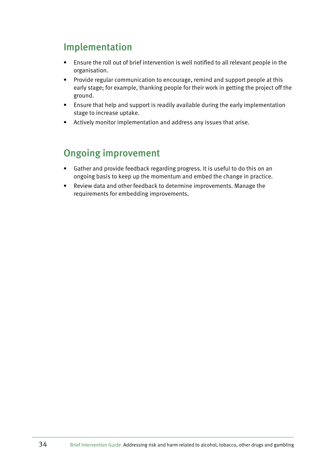## Implementation

- • Ensure the roll out of brief intervention is well notified to all relevant people in the organisation.
- Provide regular communication to encourage, remind and support people at this early stage; for example, thanking people for their work in getting the project off the ground.
- Ensure that help and support is readily available during the early implementation stage to increase uptake.
- • Actively monitor implementation and address any issues that arise.

## Ongoing improvement

- Gather and provide feedback regarding progress. It is useful to do this on an ongoing basis to keep up the momentum and embed the change in practice.
- Review data and other feedback to determine improvements. Manage the requirements for embedding improvements.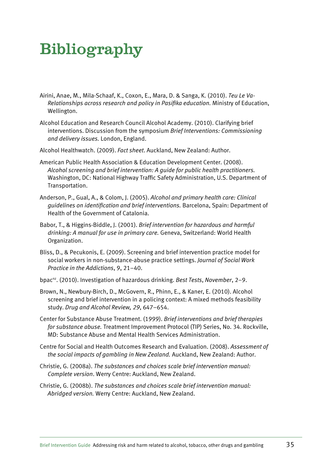# Bibliography

- Airini, Anae, M., Mila-Schaaf, K., Coxon, E., Mara, D. & Sanga, K. (2010). *Teu Le Va-Relationships across research and policy in Pasifika education.* Ministry of Education, Wellington.
- Alcohol Education and Research Council Alcohol Academy. (2010). Clarifying brief interventions. Discussion from the symposium *Brief Interventions: Commissioning and delivery issues.* London, England.
- Alcohol Healthwatch. (2009). *Fact sheet*. Auckland, New Zealand: Author.
- American Public Health Association & Education Development Center. (2008). *Alcohol screening and brief intervention: A guide for public health practitioners.*  Washington, DC: National Highway Traffic Safety Administration, U.S. Department of Transportation.
- Anderson, P., Gual, A., & Colom, J. (2005). *Alcohol and primary health care: Clinical guidelines on identification and brief interventions.* Barcelona, Spain: Department of Health of the Government of Catalonia.
- Babor, T., & Higgins-Biddle, J. (2001). *Brief intervention for hazardous and harmful drinking: A manual for use in primary care.* Geneva, Switzerland: World Health Organization.
- Bliss, D., & Pecukonis, E. (2009). Screening and brief intervention practice model for social workers in non-substance-abuse practice settings. *Journal of Social Work Practice in the Addictions*, 9, 21–40.
- bpacnz. (2010). Investigation of hazardous drinking. *Best Tests*, *November*, 2–9.
- Brown, N., Newbury-Birch, D., McGovern, R., Phinn, E., & Kaner, E. (2010). Alcohol screening and brief intervention in a policing context: A mixed methods feasibility study. *Drug and Alcohol Review, 29*, 647–654.
- Center for Substance Abuse Treatment. (1999). *Brief interventions and brief therapies for substance abuse.* Treatment Improvement Protocol (TIP) Series, No. 34. Rockville, MD: Substance Abuse and Mental Health Services Administration.
- Centre for Social and Health Outcomes Research and Evaluation. (2008). *Assessment of the social impacts of gambling in New Zealand.* Auckland, New Zealand: Author.
- Christie, G. (2008a). *The substances and choices scale brief intervention manual: Complete version*. Werry Centre: Auckland, New Zealand.
- Christie, G. (2008b). *The substances and choices scale brief intervention manual: Abridged version.* Werry Centre: Auckland, New Zealand.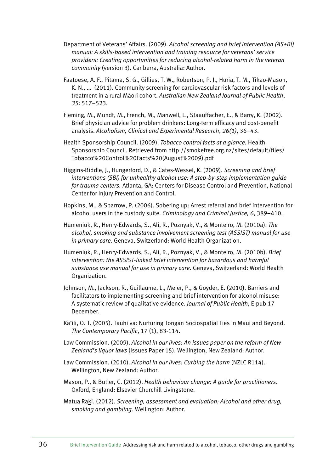- Department of Veterans' Affairs. (2009). *Alcohol screening and brief intervention (AS+BI) manual: A skills-based intervention and training resource for veterans' service providers: Creating opportunities for reducing alcohol-related harm in the veteran community* (version 3). Canberra, Australia: Author.
- Faatoese, A. F., Pitama, S. G., Gillies, T. W., Robertson, P. J., Huria, T. M., Tikao-Mason, K. N., … (2011). Community screening for cardiovascular risk factors and levels of treatment in a rural Màori cohort. *Australian New Zealand Journal of Public Health*, *35*: 517–523.
- Fleming, M., Mundt, M., French, M., Manwell, L., Staauffacher, E., & Barry, K. (2002). Brief physician advice for problem drinkers: Long-term efficacy and cost-benefit analysis. *Alcoholism, Clinical and Experimental Research*, *26(1)*, 36–43.
- Health Sponsorship Council. (2009). *Tobacco control facts at a glance.* Health Sponsorship Council. Retrieved from http://smokefree.org.nz/sites/default/files/ Tobacco%20Control%20Facts%20(August%2009).pdf
- Higgins-Biddle, J., Hungerford, D., & Cates-Wessel, K. (2009). *Screening and brief interventions (SBI) for unhealthy alcohol use: A step-by-step implementation guide for trauma centers.* Atlanta, GA: Centers for Disease Control and Prevention, National Center for Injury Prevention and Control.
- Hopkins, M., & Sparrow, P. (2006). Sobering up: Arrest referral and brief intervention for alcohol users in the custody suite. *Criminology and Criminal Justice, 6*, 389–410.
- Humeniuk, R., Henry-Edwards, S., Ali, R., Poznyak, V., & Monteiro, M. (2010a). *The alcohol, smoking and substance involvement screening test (ASSIST) manual for use in primary care*. Geneva, Switzerland: World Health Organization.
- Humeniuk, R., Henry-Edwards, S., Ali, R., Poznyak, V., & Monteiro, M. (2010b). *Brief intervention: the ASSIST-linked brief intervention for hazardous and harmful substance use manual for use in primary care.* Geneva, Switzerland: World Health Organization.
- Johnson, M., Jackson, R., Guillaume, L., Meier, P., & Goyder, E. (2010). Barriers and facilitators to implementing screening and brief intervention for alcohol misuse: A systematic review of qualitative evidence. *Journal of Public Health*, E-pub 17 December.
- Ka'ili, O. T. (2005). Tauhi va: Nurturing Tongan Sociospatial Ties in Maui and Beyond. *The Contemporary Pacific*, 17 (1), 83-114.
- Law Commission. (2009). *Alcohol in our lives: An issues paper on the reform of New Zealand's liquor laws* (Issues Paper 15). Wellington, New Zealand: Author.
- Law Commission. (2010). *Alcohol in our lives: Curbing the harm* (NZLC R114). Wellington, New Zealand: Author.
- Mason, P., & Butler, C. (2012). *Health behaviour change: A guide for practitioners*. Oxford, England: Elsevier Churchill Livingstone.
- Matua Raki. (2012). *Screening, assessment and evaluation: Alcohol and other drug, smoking and gambling.* Wellington: Author.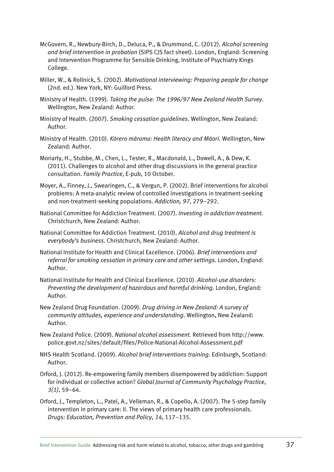- McGovern, R., Newbury-Birch, D., Deluca, P., & Drummond, C. (2012). *Alcohol screening and brief intervention in probation* (SIPS CJS fact sheet). London, England: Screening and Intervention Programme for Sensible Drinking, Institute of Psychiatry Kings College.
- Miller, W., & Rollnick, S. (2002). *Motivational interviewing: Preparing people for change* (2nd. ed.). New York, NY: Guilford Press.
- Ministry of Health. (1999). *Taking the pulse: The 1996/97 New Zealand Health Survey*. Wellington, New Zealand: Author.
- Ministry of Health. (2007). *Smoking cessation guidelines*. Wellington, New Zealand: Author.
- Ministry of Health. (2010). *Kòrero màrama: Health literacy and Màori.* Wellington, New Zealand: Author.
- Moriarty, H., Stubbe, M., Chen, L., Tester, R., Macdonald, L., Dowell, A., & Dew, K. (2011). Challenges to alcohol and other drug discussions in the general practice consultation. *Family Practice*, E-pub, 10 October.
- Moyer, A., Finney, J., Swearingen, C., & Vergun, P. (2002). Brief interventions for alcohol problems: A meta-analytic review of controlled investigations in treatment-seeking and non-treatment-seeking populations. *Addiction, 97*, 279–292.
- National Committee for Addiction Treatment. (2007). *Investing in addiction treatment.* Christchurch, New Zealand: Author.
- National Committee for Addiction Treatment. (2010). *Alcohol and drug treatment is everybody's business*. Christchurch, New Zealand: Author.
- National Institute for Health and Clinical Excellence. (2006). *Brief interventions and referral for smoking cessation in primary care and other settings.* London, England: Author.
- National Institute for Health and Clinical Excellence. (2010). *Alcohol-use disorders: Preventing the development of hazardous and harmful drinking.* London, England: Author.
- New Zealand Drug Foundation. (2009). *Drug driving in New Zealand: A survey of community attitudes, experience and understanding*. Wellington, New Zealand: Author.
- New Zealand Police. (2009). *National alcohol assessment.* Retrieved from http://www. police.govt.nz/sites/default/files/Police-National-Alcohol-Assessment.pdf
- NHS Health Scotland. (2009). *Alcohol brief interventions training.* Edinburgh, Scotland: Author.
- Orford, J. (2012). Re-empowering family members disempowered by addiction: Support for individual or collective action? *Global Journal of Community Psychology Practice*, *3(1)*, 59–64.
- Orford, J., Templeton, L., Patel, A., Velleman, R., & Copello, A. (2007). The 5-step family intervention in primary care: II. The views of primary health care professionals. *Drugs: Education, Prevention and Policy*, *14*, 117–135.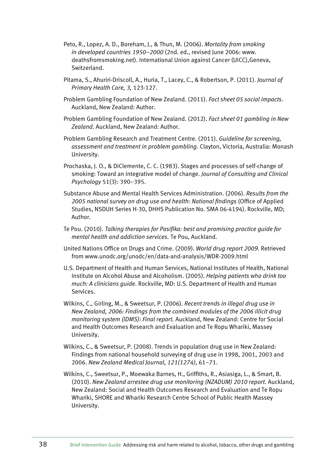- Peto, R., Lopez, A. D., Boreham, J., & Thun, M. (2006). *Mortality from smoking in developed countries 1950–2000* (2nd. ed., revised June 2006: www. deathsfromsmoking.net). International Union against Cancer (UICC),Geneva, Switzerland.
- Pitama, S., Ahuriri-Driscoll, A., Huria, T., Lacey, C., & Robertson, P. (2011). *Journal of Primary Health Care, 3,* 123-127.
- Problem Gambling Foundation of New Zealand. (2011). *Fact sheet 05 social impacts*. Auckland, New Zealand: Author.
- Problem Gambling Foundation of New Zealand. (2012). *Fact sheet 01 gambling in New Zealand*. Auckland, New Zealand: Author.
- Problem Gambling Research and Treatment Centre. (2011). *Guideline for screening, assessment and treatment in problem gambling.* Clayton, Victoria, Australia: Monash University.
- Prochaska, J. O., & DiClemente, C. C. (1983). Stages and processes of self-change of smoking: Toward an integrative model of change. *Journal of Consulting and Clinical Psychology* 51(3): 390–395.
- Substance Abuse and Mental Health Services Administration. (2006). *Results from the 2005 national survey on drug use and health: National findings* (Office of Applied Studies, NSDUH Series H-30, DHHS Publication No. SMA 06-4194). Rockville, MD; Author.
- Te Pou. (2010). *Talking therapies for Pasifika: best and promising practice guide for mental health and addiction services.* Te Pou, Auckland.
- United Nations Office on Drugs and Crime. (2009). *World drug report 2009*. Retrieved from www.unodc.org/unodc/en/data-and-analysis/WDR-2009.html
- U.S. Department of Health and Human Services, National Institutes of Health, National Institute on Alcohol Abuse and Alcoholism. (2005). *Helping patients who drink too much: A clinicians guide*. Rockville, MD: U.S. Department of Health and Human Services.
- Wilkins, C., Girling, M., & Sweetsur, P. (2006). *Recent trends in illegal drug use in New Zealand, 2006: Findings from the combined modules of the 2006 illicit drug monitoring system (IDMS): Final report.* Auckland, New Zealand: Centre for Social and Health Outcomes Research and Evaluation and Te Ropu Whariki, Massey University.
- Wilkins, C., & Sweetsur, P. (2008). Trends in population drug use in New Zealand: Findings from national household surveying of drug use in 1998, 2001, 2003 and 2006. *New Zealand Medical Journal*, *121(1274)*, 61–71.
- Wilkins, C., Sweetsur, P., Moewaka Barnes, H., Griffiths, R., Asiasiga, L., & Smart, B. (2010). *New Zealand arrestee drug use monitoring (NZADUM) 2010 report.* Auckland, New Zealand: Social and Health Outcomes Research and Evaluation and Te Ropu Whariki, SHORE and Whariki Research Centre School of Public Health Massey University.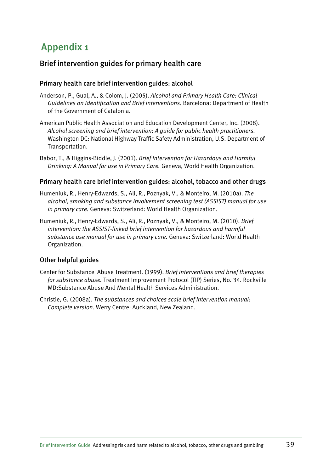## Appendix 1

### Brief intervention guides for primary health care

### Primary health care brief intervention guides: alcohol

- Anderson, P., Gual, A., & Colom, J. (2005). *Alcohol and Primary Health Care: Clinical Guidelines on Identification and Brief Interventions.* Barcelona: Department of Health of the Government of Catalonia.
- American Public Health Association and Education Development Center, Inc. (2008). *Alcohol screening and brief intervention: A guide for public health practitioners.*  Washington DC: National Highway Traffic Safety Administration, U.S. Department of Transportation.
- Babor, T., & Higgins-Biddle, J. (2001). *Brief Intervention for Hazardous and Harmful Drinking: A Manual for use in Primary Care.* Geneva, World Health Organization.

### Primary health care brief intervention guides: alcohol, tobacco and other drugs

- Humeniuk, R., Henry-Edwards, S., Ali, R., Poznyak, V., & Monteiro, M. (2010a). *The alcohol, smoking and substance involvement screening test (ASSIST) manual for use in primary care.* Geneva: Switzerland: World Health Organization.
- Humeniuk, R., Henry-Edwards, S., Ali, R., Poznyak, V., & Monteiro, M. (2010). *Brief intervention: the ASSIST-linked brief intervention for hazardous and harmful substance use manual for use in primary care.* Geneva: Switzerland: World Health Organization.

### Other helpful guides

- Center for Substance Abuse Treatment. (1999). *Brief interventions and brief therapies for substance abuse.* Treatment Improvement Protocol (TIP) Series, No. 34. Rockville MD:Substance Abuse And Mental Health Services Administration.
- Christie, G. (2008a). *The substances and choices scale brief intervention manual: Complete version*. Werry Centre: Auckland, New Zealand.